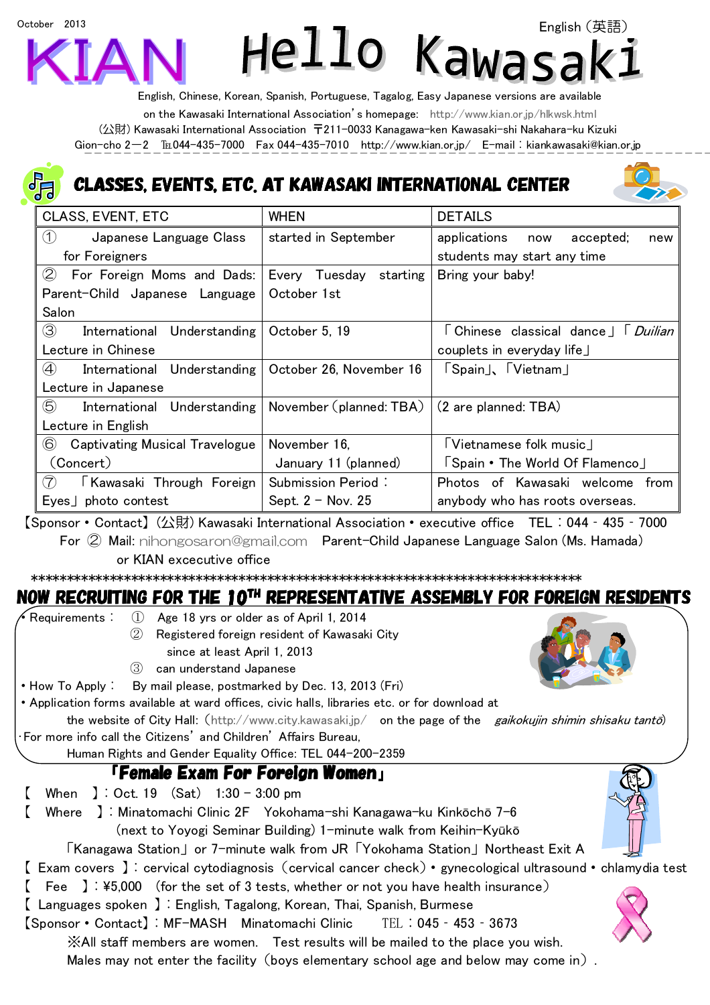# English(英語)Hello Kawa

English, Chinese, Korean, Spanish, Portuguese, Tagalog, Easy Japanese versions are available on the Kawasaki International Association's homepage: http://www.kian.or.jp/hlkwsk.html (公財) Kawasaki International Association 〒211-0033 Kanagawa-ken Kawasaki-shi Nakahara-ku Kizuki Gion-cho 2-2 EL044-435-7000 Fax 044-435-7010 http://www.kian.or.jp/ E-mail: kiankawasaki@kian.or.jp

## ASSES, EVENTS, ETC. AT KAWASAKI INTERNATIONAL CENTER



| <b>CLASS, EVENT, ETC</b>                               | <b>WHEN</b>               | <b>DETAILS</b>                            |  |
|--------------------------------------------------------|---------------------------|-------------------------------------------|--|
| Japanese Language Class<br>(1)                         | started in September      | applications<br>accepted;<br>now<br>new   |  |
| for Foreigners                                         |                           | students may start any time               |  |
| (2)<br>For Foreign Moms and Dads:                      | Every Tuesday<br>starting | Bring your baby!                          |  |
| Parent-Child Japanese Language                         | October 1st               |                                           |  |
| Salon                                                  |                           |                                           |  |
| $\circled{3}$<br>International Understanding           | October 5, 19             | 「Chinese classical dance」「 <i>Duilian</i> |  |
| Lecture in Chinese                                     |                           | couplets in everyday life」                |  |
| $\circled{4}$<br>International Understanding           | October 26, November 16   | 「Spain」、「Vietnam」                         |  |
| Lecture in Japanese                                    |                           |                                           |  |
| 5<br>International Understanding                       | November (planned: TBA)   | (2 are planned: TBA)                      |  |
| Lecture in English                                     |                           |                                           |  |
| $\circled{6}$<br><b>Captivating Musical Travelogue</b> | November 16.              | 「Vietnamese folk music」                   |  |
| (Concert)                                              | January 11 (planned)      | Spain • The World Of Flamenco             |  |
| $\left( 7\right)$<br>Kawasaki Through Foreign          | Submission Period:        | Photos of Kawasaki welcome from           |  |
| $Eyes$ photo contest                                   | Sept. $2 - Nov. 25$       | anybody who has roots overseas.           |  |

【Sponsor・Contact】(公財) Kawasaki International Association・executive office TEL:044‐435‐7000 For ② Mail: nihongosaron@gmail.com Parent-Child Japanese Language Salon (Ms. Hamada) or KIAN excecutive office

\*\*\*\*\*\*\*\*\*\*\*\*\*\*\*\*\*\*\*\*\*\*\*\*\*\*\*\*\*\*\*\*\*\*\*\*\*\*\*\*\*\*\*\*\*\*\*\*\*\*\*\*\*\*\*\*\*\*\*\*\*\*\*\*\*\*\*\*\*\*\*\*\*\*\*\*\*

## NOW RECRUITING FOR THE 10TH REPRESENTATIVE ASSEMBLY FOR FOREIGN RESIDENTS

Requirements: ① Age 18 yrs or older as of April 1, 2014 ② Registered foreign resident of Kawasaki City since at least April 1, 2013 ③ can understand Japanese • How To Apply: By mail please, postmarked by Dec. 13, 2013 (Fri) ・Application forms available at ward offices, civic halls, libraries etc. or for download at the website of City Hall: (http://www.city.kawasaki.jp/ on the page of the *gaikokujin shimin shisaku tantō*) ・For more info call the Citizens' and Children' Affairs Bureau, Human Rights and Gender Equality Office: TEL 044-200-2359 「Female Exam For Foreign Women」  $\begin{bmatrix} \text{When } 1: \text{Oct.} \ 19 \ \text{(Sat)} \ 1:30 - 3:00 \text{ pm} \end{bmatrix}$ 【 Where 】:Minatomachi Clinic 2F Yokohama-shi Kanagawa-ku Kinkōchō 7-6 (next to Yoyogi Seminar Building) 1-minute walk from Keihin-Kyūkō 「Kanagawa Station」or 7-minute walk from JR「Yokohama Station」Northeast Exit A 【 Exam covers 】:cervical cytodiagnosis(cervical cancer check)・gynecological ultrasound・chlamydia test  $[$  Fee ]:  $*5,000$  (for the set of 3 tests, whether or not you have health insurance) 【 Languages spoken 】:English, Tagalong, Korean, Thai, Spanish, Burmese 【Sponsor・Contact】:MF-MASH Minatomachi Clinic TEL:045‐453‐3673 ※All staff members are women. Test results will be mailed to the place you wish. Males may not enter the facility (boys elementary school age and below may come in).